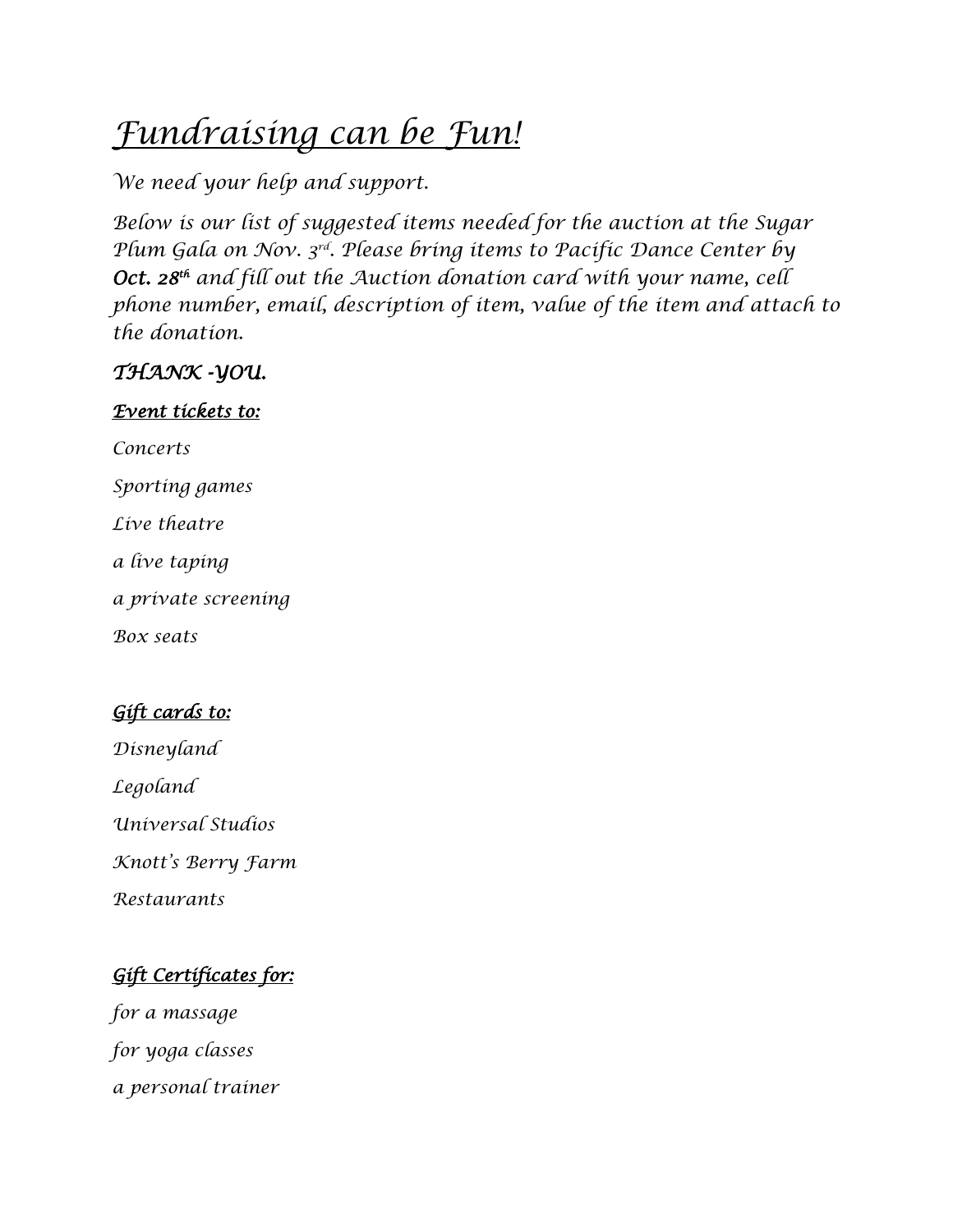# *Fundraising can be Fun!*

*We need your help and support.*

*Below is our list of suggested items needed for the auction at the Sugar Plum Gala on Nov. 3rd . Please bring items to Pacific Dance Center by Oct. 28th and fill out the Auction donation card with your name, cell phone number, email, description of item, value of the item and attach to the donation.*

## *THANK -YOU.*

#### *Event tickets to:*

*Concerts Sporting games Live theatre a live taping a private screening Box seats*

## *Gift cards to:*

*Disneyland*

*Legoland*

*Universal Studios*

*Knott's Berry Farm*

*Restaurants*

# *Gift Certificates for:*

*for a massage for yoga classes a personal trainer*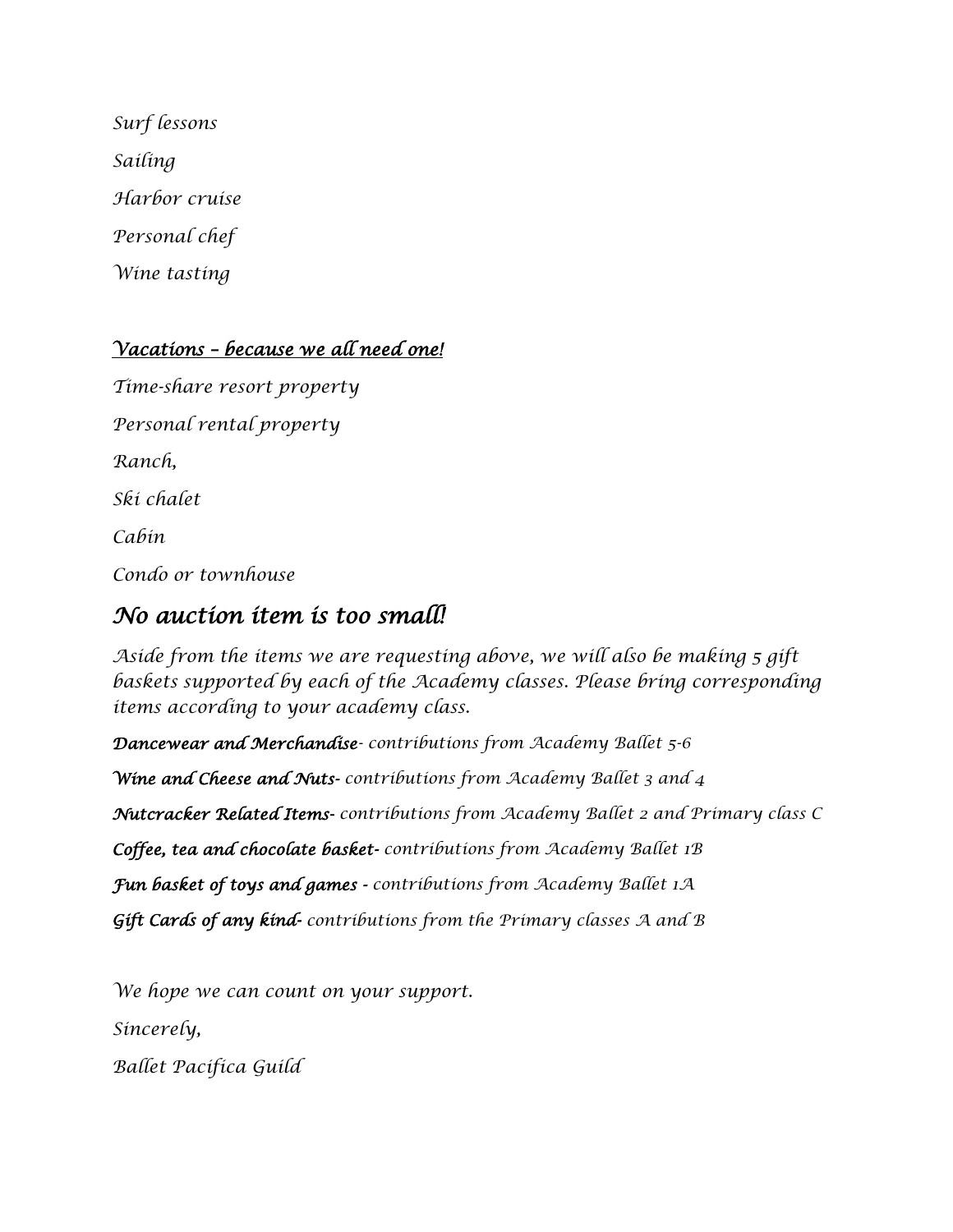*Surf lessons Sailing Harbor cruise Personal chef Wine tasting*

#### *Vacations – because we all need one!*

*Time-share resort property Personal rental property Ranch, Ski chalet Cabin Condo or townhouse*

## *No auction item is too small!*

*Aside from the items we are requesting above, we will also be making 5 gift*  baskets supported by each of the Academy classes. Please bring corresponding *items according to your academy class.*

*Dancewear and Merchandise- contributions from Academy Ballet 5-6 Wine and Cheese and Nuts- contributions from Academy Ballet 3 and 4 Nutcracker Related Items- contributions from Academy Ballet 2 and Primary class C Coffee, tea and chocolate basket- contributions from Academy Ballet 1B Fun basket of toys and games - contributions from Academy Ballet 1A Gift Cards of any kind- contributions from the Primary classes A and B*

*We hope we can count on your support.*

*Sincerely,*

*Ballet Pacifica Guild*